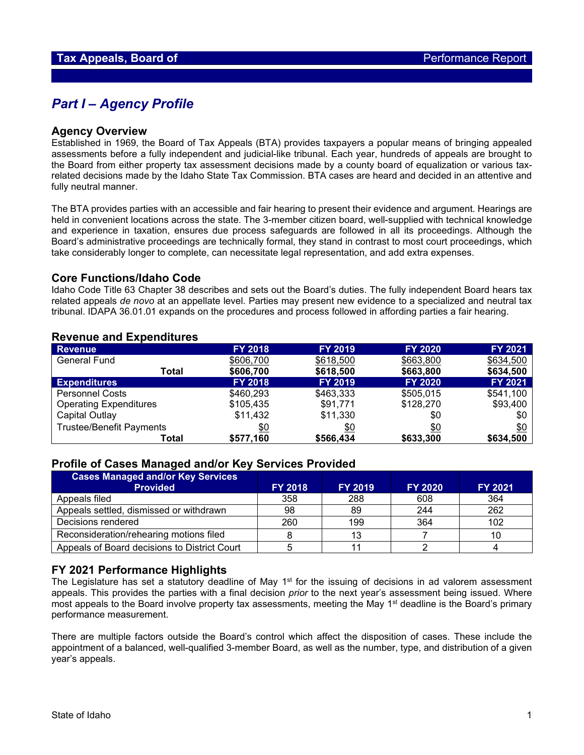## *Part I – Agency Profile*

#### **Agency Overview**

Established in 1969, the Board of Tax Appeals (BTA) provides taxpayers a popular means of bringing appealed assessments before a fully independent and judicial-like tribunal. Each year, hundreds of appeals are brought to the Board from either property tax assessment decisions made by a county board of equalization or various taxrelated decisions made by the Idaho State Tax Commission. BTA cases are heard and decided in an attentive and fully neutral manner.

The BTA provides parties with an accessible and fair hearing to present their evidence and argument. Hearings are held in convenient locations across the state. The 3-member citizen board, well-supplied with technical knowledge and experience in taxation, ensures due process safeguards are followed in all its proceedings. Although the Board's administrative proceedings are technically formal, they stand in contrast to most court proceedings, which take considerably longer to complete, can necessitate legal representation, and add extra expenses.

#### **Core Functions/Idaho Code**

Idaho Code Title 63 Chapter 38 describes and sets out the Board's duties. The fully independent Board hears tax related appeals *de novo* at an appellate level. Parties may present new evidence to a specialized and neutral tax tribunal. IDAPA 36.01.01 expands on the procedures and process followed in affording parties a fair hearing.

#### **Revenue and Expenditures**

| <b>Revenue</b>                  | <b>FY 2018</b> | <b>FY 2019</b> | <b>FY 2020</b> | <b>FY 2021</b> |
|---------------------------------|----------------|----------------|----------------|----------------|
| <b>General Fund</b>             | \$606,700      | \$618,500      | \$663,800      | \$634,500      |
| <b>Total</b>                    | \$606,700      | \$618,500      | \$663,800      | \$634,500      |
| <b>Expenditures</b>             | <b>FY 2018</b> | <b>FY 2019</b> | <b>FY 2020</b> | <b>FY 2021</b> |
| <b>Personnel Costs</b>          | \$460,293      | \$463,333      | \$505,015      | \$541,100      |
| <b>Operating Expenditures</b>   | \$105,435      | \$91,771       | \$128,270      | \$93,400       |
| Capital Outlay                  | \$11,432       | \$11,330       | \$0            | \$0            |
| <b>Trustee/Benefit Payments</b> | \$0            | \$0            | \$0            | \$0            |
| Total                           | \$577,160      | \$566,434      | \$633,300      | \$634,500      |

#### **Profile of Cases Managed and/or Key Services Provided**

| <b>Cases Managed and/or Key Services</b>     |                |                |                |                |
|----------------------------------------------|----------------|----------------|----------------|----------------|
| <b>Provided</b>                              | <b>FY 2018</b> | <b>FY 2019</b> | <b>FY 2020</b> | <b>FY 2021</b> |
| Appeals filed                                | 358            | 288            | 608            | 364            |
| Appeals settled, dismissed or withdrawn      | 98             | 89             | 244            | 262            |
| Decisions rendered                           | 260            | 199            | 364            | 102            |
| Reconsideration/rehearing motions filed      |                | 13             |                | 10             |
| Appeals of Board decisions to District Court |                |                |                |                |

### **FY 2021 Performance Highlights**

The Legislature has set a statutory deadline of May 1<sup>st</sup> for the issuing of decisions in ad valorem assessment appeals. This provides the parties with a final decision *prior* to the next year's assessment being issued. Where most appeals to the Board involve property tax assessments, meeting the May 1<sup>st</sup> deadline is the Board's primary performance measurement.

There are multiple factors outside the Board's control which affect the disposition of cases. These include the appointment of a balanced, well-qualified 3-member Board, as well as the number, type, and distribution of a given year's appeals.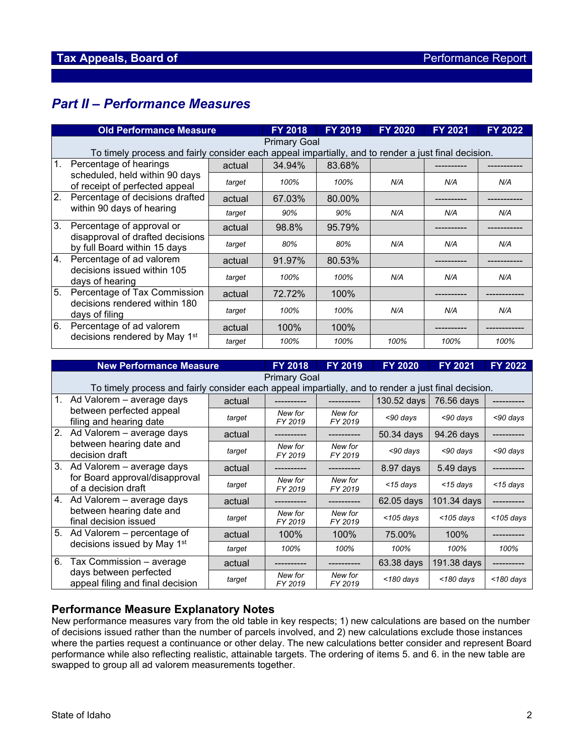# *Part II – Performance Measures*

|                | <b>Old Performance Measure</b>                                                                                             |        | <b>FY 2018</b> | <b>FY 2019</b> | <b>FY 2020</b> | <b>FY 2021</b> | <b>FY 2022</b> |  |  |
|----------------|----------------------------------------------------------------------------------------------------------------------------|--------|----------------|----------------|----------------|----------------|----------------|--|--|
|                | <b>Primary Goal</b><br>To timely process and fairly consider each appeal impartially, and to render a just final decision. |        |                |                |                |                |                |  |  |
| $\mathbf{1}$ . | Percentage of hearings<br>scheduled, held within 90 days<br>of receipt of perfected appeal                                 | actual | 34.94%         | 83.68%         |                |                |                |  |  |
|                |                                                                                                                            | target | 100%           | 100%           | N/A            | N/A            | N/A            |  |  |
| 2.             | Percentage of decisions drafted<br>within 90 days of hearing                                                               | actual | 67.03%         | 80.00%         |                |                |                |  |  |
|                |                                                                                                                            | target | 90%            | 90%            | N/A            | N/A            | N/A            |  |  |
| 3.             | Percentage of approval or<br>disapproval of drafted decisions<br>by full Board within 15 days                              | actual | 98.8%          | 95.79%         |                |                |                |  |  |
|                |                                                                                                                            | target | 80%            | 80%            | N/A            | N/A            | N/A            |  |  |
| 4.             | Percentage of ad valorem                                                                                                   | actual | 91.97%         | 80.53%         |                |                |                |  |  |
|                | decisions issued within 105<br>days of hearing                                                                             | target | 100%           | 100%           | N/A            | N/A            | N/A            |  |  |
| 5.             | Percentage of Tax Commission<br>decisions rendered within 180<br>days of filing                                            | actual | 72.72%         | 100%           |                |                |                |  |  |
|                |                                                                                                                            | target | 100%           | 100%           | N/A            | N/A            | N/A            |  |  |
| 6.             | Percentage of ad valorem                                                                                                   | actual | 100%           | 100%           |                |                |                |  |  |
|                | decisions rendered by May 1st                                                                                              | target | 100%           | 100%           | 100%           | 100%           | 100%           |  |  |

| <b>New Performance Measure</b> |                                                                                                                     | <b>FY 2018</b> | <b>FY 2019</b>     | <b>FY 2020</b>     | <b>FY 2021</b> | <b>FY 2022</b> |              |  |  |
|--------------------------------|---------------------------------------------------------------------------------------------------------------------|----------------|--------------------|--------------------|----------------|----------------|--------------|--|--|
|                                | Primary Goal<br>To timely process and fairly consider each appeal impartially, and to render a just final decision. |                |                    |                    |                |                |              |  |  |
| 1.                             | Ad Valorem - average days<br>between perfected appeal<br>filing and hearing date                                    | actual         |                    |                    | 130.52 days    | 76.56 days     |              |  |  |
|                                |                                                                                                                     | target         | New for<br>FY 2019 | New for<br>FY 2019 | <90 days       | <90 days       | $<$ 90 days  |  |  |
| 2.                             | Ad Valorem - average days                                                                                           | actual         |                    |                    | 50.34 days     | 94.26 days     |              |  |  |
|                                | between hearing date and<br>decision draft                                                                          | target         | New for<br>FY 2019 | New for<br>FY 2019 | $<$ 90 days    | $<$ 90 days    | $<$ 90 days  |  |  |
| 3.                             | Ad Valorem - average days<br>for Board approval/disapproval<br>of a decision draft                                  | actual         |                    |                    | $8.97$ days    | 5.49 days      |              |  |  |
|                                |                                                                                                                     | target         | New for<br>FY 2019 | New for<br>FY 2019 | $<$ 15 days    | $<$ 15 days    | $<$ 15 days  |  |  |
| 4.                             | Ad Valorem – average days                                                                                           | actual         |                    |                    | 62.05 days     | 101.34 days    |              |  |  |
|                                | between hearing date and<br>final decision issued                                                                   | target         | New for<br>FY 2019 | New for<br>FY 2019 | $<$ 105 days   | $<$ 105 days   | $<$ 105 days |  |  |
| 5.                             | Ad Valorem – percentage of<br>decisions issued by May 1st                                                           | actual         | 100%               | 100%               | 75.00%         | 100%           |              |  |  |
|                                |                                                                                                                     | target         | 100%               | 100%               | 100%           | 100%           | 100%         |  |  |
| 6.                             | Tax Commission - average<br>days between perfected<br>appeal filing and final decision                              | actual         |                    |                    | 63.38 days     | 191.38 days    |              |  |  |
|                                |                                                                                                                     | target         | New for<br>FY 2019 | New for<br>FY 2019 | $<$ 180 days   | <180 days      | $<$ 180 days |  |  |

## **Performance Measure Explanatory Notes**

New performance measures vary from the old table in key respects; 1) new calculations are based on the number of decisions issued rather than the number of parcels involved, and 2) new calculations exclude those instances where the parties request a continuance or other delay. The new calculations better consider and represent Board performance while also reflecting realistic, attainable targets. The ordering of items 5. and 6. in the new table are swapped to group all ad valorem measurements together.